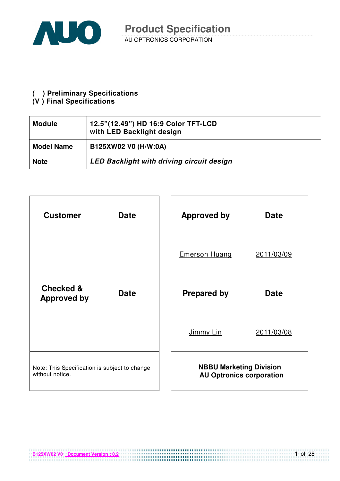

#### **( ) Preliminary Specifications**

#### **(V ) Final Specifications**

| <b>Module</b>     | 12.5"(12.49") HD 16:9 Color TFT-LCD<br>with LED Backlight design |
|-------------------|------------------------------------------------------------------|
| <b>Model Name</b> | B125XW02 V0 (H/W:0A)                                             |
| <b>Note</b>       | <b>LED Backlight with driving circuit design</b>                 |

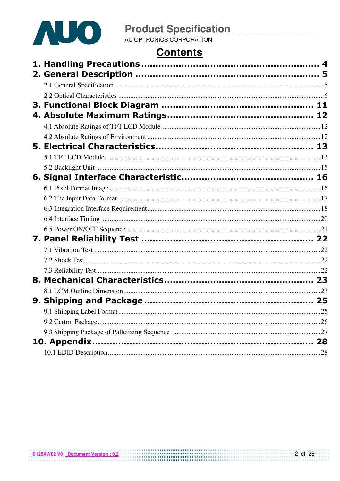

### **Contents**

|  | .25 |
|--|-----|
|  |     |
|  |     |
|  |     |
|  |     |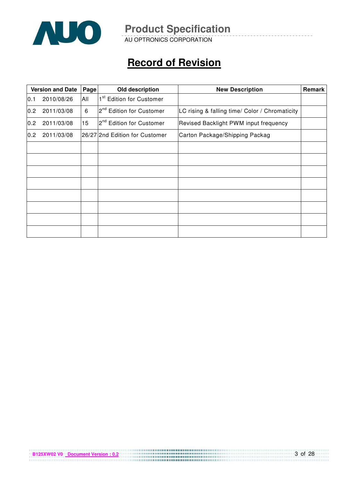

AU OPTRONICS CORPORATION

## **Record of Revision**

|     | <b>Version and Date</b> | Page | Old description                      | <b>New Description</b>                         | Remark |
|-----|-------------------------|------|--------------------------------------|------------------------------------------------|--------|
| 0.1 | 2010/08/26              | All  | 1 <sup>st</sup> Edition for Customer |                                                |        |
| 0.2 | 2011/03/08              | 6    | 2 <sup>nd</sup> Edition for Customer | LC rising & falling time/ Color / Chromaticity |        |
| 0.2 | 2011/03/08              | 15   | 2 <sup>nd</sup> Edition for Customer | Revised Backlight PWM input frequency          |        |
| 0.2 | 2011/03/08              |      | 26/27 2nd Edition for Customer       | Carton Package/Shipping Packag                 |        |
|     |                         |      |                                      |                                                |        |
|     |                         |      |                                      |                                                |        |
|     |                         |      |                                      |                                                |        |
|     |                         |      |                                      |                                                |        |
|     |                         |      |                                      |                                                |        |
|     |                         |      |                                      |                                                |        |
|     |                         |      |                                      |                                                |        |
|     |                         |      |                                      |                                                |        |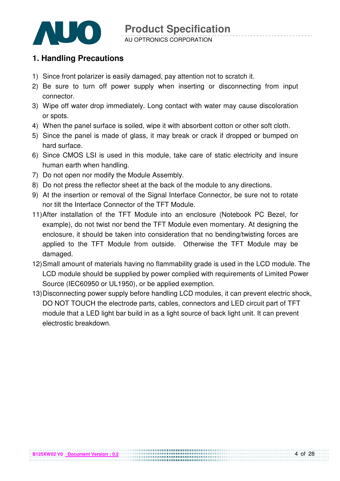

#### **1. Handling Precautions**

- 1) Since front polarizer is easily damaged, pay attention not to scratch it.
- 2) Be sure to turn off power supply when inserting or disconnecting from input connector.
- 3) Wipe off water drop immediately. Long contact with water may cause discoloration or spots.
- 4) When the panel surface is soiled, wipe it with absorbent cotton or other soft cloth.
- 5) Since the panel is made of glass, it may break or crack if dropped or bumped on hard surface.
- 6) Since CMOS LSI is used in this module, take care of static electricity and insure human earth when handling.
- 7) Do not open nor modify the Module Assembly.
- 8) Do not press the reflector sheet at the back of the module to any directions.
- 9) At the insertion or removal of the Signal Interface Connector, be sure not to rotate nor tilt the Interface Connector of the TFT Module.
- 11) After installation of the TFT Module into an enclosure (Notebook PC Bezel, for example), do not twist nor bend the TFT Module even momentary. At designing the enclosure, it should be taken into consideration that no bending/twisting forces are applied to the TFT Module from outside. Otherwise the TFT Module may be damaged.
- 12) Small amount of materials having no flammability grade is used in the LCD module. The LCD module should be supplied by power complied with requirements of Limited Power Source (IEC60950 or UL1950), or be applied exemption.
- 13) Disconnecting power supply before handling LCD modules, it can prevent electric shock, DO NOT TOUCH the electrode parts, cables, connectors and LED circuit part of TFT module that a LED light bar build in as a light source of back light unit. It can prevent electrostic breakdown.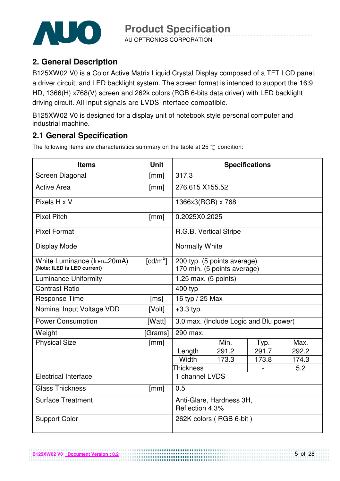

AU OPTRONICS CORPORATION

#### **2. General Description**

B125XW02 V0 is a Color Active Matrix Liquid Crystal Display composed of a TFT LCD panel, a driver circuit, and LED backlight system. The screen format is intended to support the 16:9 HD, 1366(H) x768(V) screen and 262k colors (RGB 6-bits data driver) with LED backlight driving circuit. All input signals are LVDS interface compatible.

B125XW02 V0 is designed for a display unit of notebook style personal computer and industrial machine.

#### **2.1 General Specification**

The following items are characteristics summary on the table at 25  $\degree$ C condition:

| <b>Items</b>                                               | <b>Unit</b>            |                                                                      |                         | <b>Specifications</b>                  |       |  |
|------------------------------------------------------------|------------------------|----------------------------------------------------------------------|-------------------------|----------------------------------------|-------|--|
| Screen Diagonal                                            | [mm]                   | 317.3                                                                |                         |                                        |       |  |
| <b>Active Area</b>                                         | [mm]                   | 276.615 X155.52                                                      |                         |                                        |       |  |
| Pixels H x V                                               |                        | 1366x3(RGB) x 768                                                    |                         |                                        |       |  |
| <b>Pixel Pitch</b>                                         | [mm]                   | 0.2025X0.2025                                                        |                         |                                        |       |  |
| <b>Pixel Format</b>                                        |                        | R.G.B. Vertical Stripe                                               |                         |                                        |       |  |
| <b>Display Mode</b>                                        |                        | Normally White                                                       |                         |                                        |       |  |
| White Luminance (ILED=20mA)<br>(Note: ILED is LED current) | $\lceil cd/m^2 \rceil$ | 200 typ. $(5 \text{ points average})$<br>170 min. (5 points average) |                         |                                        |       |  |
| <b>Luminance Uniformity</b>                                |                        | 1.25 max. $(5$ points)                                               |                         |                                        |       |  |
| <b>Contrast Ratio</b>                                      |                        | 400 typ                                                              |                         |                                        |       |  |
| <b>Response Time</b>                                       | [ms]                   | 16 typ / 25 Max                                                      |                         |                                        |       |  |
| Nominal Input Voltage VDD                                  | [Volt]                 | $+3.3$ typ.                                                          |                         |                                        |       |  |
| <b>Power Consumption</b>                                   | [Watt]                 |                                                                      |                         | 3.0 max. (Include Logic and Blu power) |       |  |
| Weight                                                     | [Grams]                | 290 max.                                                             |                         |                                        |       |  |
| <b>Physical Size</b>                                       | [mm]                   |                                                                      | Min.                    | Typ.                                   | Max.  |  |
|                                                            |                        | Length                                                               | 291.2                   | 291.7                                  | 292.2 |  |
|                                                            |                        | Width                                                                | 173.3                   | 173.8                                  | 174.3 |  |
|                                                            |                        | <b>Thickness</b>                                                     |                         |                                        | 5.2   |  |
| <b>Electrical Interface</b>                                |                        | 1 channel LVDS                                                       |                         |                                        |       |  |
| <b>Glass Thickness</b>                                     | [mm]                   | 0.5                                                                  |                         |                                        |       |  |
| <b>Surface Treatment</b>                                   |                        | Anti-Glare, Hardness 3H,<br>Reflection 4.3%                          |                         |                                        |       |  |
| <b>Support Color</b>                                       |                        |                                                                      | 262K colors (RGB 6-bit) |                                        |       |  |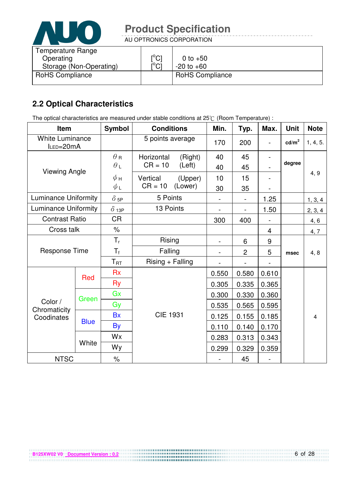

AU OPTRONICS CORPORATION

| $\mathsf{I}^\circ\mathsf{C} \mathsf{I}$ | 0 to $+50$             |
|-----------------------------------------|------------------------|
| $\mathsf{I}^\circ\mathsf{Cl}$           | $-20$ to $+60$         |
|                                         | <b>RoHS Compliance</b> |
|                                         |                        |

#### **2.2 Optical Characteristics**

The optical characteristics are measured under stable conditions at 25°C (Room Temperature) :

| Item                                |             | <b>Symbol</b> | <b>Conditions</b>  |         | Min.           | Typ.           | Max.  | <b>Unit</b>       | <b>Note</b> |
|-------------------------------------|-------------|---------------|--------------------|---------|----------------|----------------|-------|-------------------|-------------|
| <b>White Luminance</b><br>ILED=20mA |             |               | 5 points average   |         | 170            | 200            |       | cd/m <sup>2</sup> | 1, 4, 5.    |
|                                     |             | $\theta$ R    | Horizontal         | (Right) | 40             | 45             |       |                   |             |
| <b>Viewing Angle</b>                |             | $\theta$ L    | $CR = 10$          | (Left)  | 40             | 45             |       | degree            |             |
|                                     |             | $\phi$ н      | Vertical           | (Upper) | 10             | 15             |       |                   | 4, 9        |
|                                     |             | ψL            | $CR = 10$          | (Lower) | 30             | 35             |       |                   |             |
| <b>Luminance Uniformity</b>         |             | $\delta$ 5P   | 5 Points           |         |                |                | 1.25  |                   | 1, 3, 4     |
| <b>Luminance Uniformity</b>         |             | $\delta$ 13P  | 13 Points          |         |                |                | 1.50  |                   | 2, 3, 4     |
| <b>Contrast Ratio</b>               |             | <b>CR</b>     |                    |         | 300            | 400            |       |                   | 4, 6        |
| Cross talk                          |             | $\%$          |                    |         |                |                | 4     |                   | 4, 7        |
|                                     |             | $T_{r}$       | Rising<br>Falling  |         |                | 6              | 9     | msec              | 4, 8        |
| <b>Response Time</b>                |             | $T_f$         |                    |         |                | $\overline{2}$ | 5     |                   |             |
|                                     |             | $T_{\rm RT}$  | $Rising + Falling$ |         | $\blacksquare$ |                |       |                   |             |
|                                     |             | <b>Rx</b>     |                    |         | 0.550          | 0.580          | 0.610 |                   |             |
|                                     | Red         | <b>Ry</b>     |                    |         | 0.305          | 0.335          | 0.365 |                   |             |
|                                     |             | Gx            |                    |         | 0.300          | 0.330          | 0.360 |                   |             |
| Color /                             | Green       | Gy            |                    |         | 0.535          | 0.565          | 0.595 |                   |             |
| Chromaticity<br>Coodinates          |             | <b>Bx</b>     | <b>CIE 1931</b>    |         | 0.125          | 0.155          | 0.185 |                   | 4           |
|                                     | <b>Blue</b> | By            |                    |         | 0.110          | 0.140          | 0.170 |                   |             |
|                                     |             | Wx            |                    |         | 0.283          | 0.313          | 0.343 |                   |             |
|                                     | White       | Wy            |                    |         | 0.299          | 0.329          | 0.359 |                   |             |
| <b>NTSC</b>                         |             | $\%$          |                    |         |                | 45             |       |                   |             |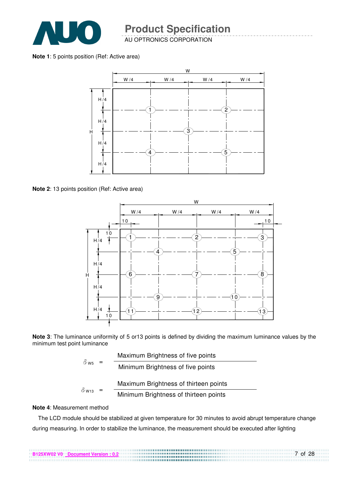

AU OPTRONICS CORPORATION

**Note 1**: 5 points position (Ref: Active area)



**Note 2**: 13 points position (Ref: Active area)



**Note 3**: The luminance uniformity of 5 or13 points is defined by dividing the maximum luminance values by the minimum test point luminance

| $\delta$ w <sub>5</sub> = |                                       | Maximum Brightness of five points     |
|---------------------------|---------------------------------------|---------------------------------------|
|                           |                                       | Minimum Brightness of five points     |
| $\delta$ W13              |                                       | Maximum Brightness of thirteen points |
|                           | Minimum Brightness of thirteen points |                                       |

#### **Note 4**: Measurement method

The LCD module should be stabilized at given temperature for 30 minutes to avoid abrupt temperature change during measuring. In order to stabilize the luminance, the measurement should be executed after lighting

7 of 28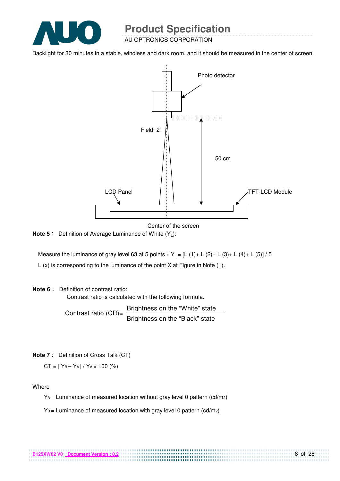

AU OPTRONICS CORPORATION

Backlight for 30 minutes in a stable, windless and dark room, and it should be measured in the center of screen.



Center of the screen

**Note 5** : Definition of Average Luminance of White (Y<sub>L</sub>):

Measure the luminance of gray level 63 at 5 points  $Y_L = [L (1) + L (2) + L (3) + L (4) + L (5)] / 5$ L (x) is corresponding to the luminance of the point X at Figure in Note (1).

#### **Note 6** : Definition of contrast ratio:

Contrast ratio is calculated with the following formula.

Contrast ratio  $(CR)$ = Brightness on the "White" state Brightness on the "Black" state

**Note 7** : Definition of Cross Talk (CT)

 $CT = |Y_B - Y_A| / Y_A \times 100$  (%)

Where

 $Y_A$  = Luminance of measured location without gray level 0 pattern (cd/m<sub>2</sub>)

................................

 $Y_B =$  Luminance of measured location with gray level 0 pattern (cd/m2)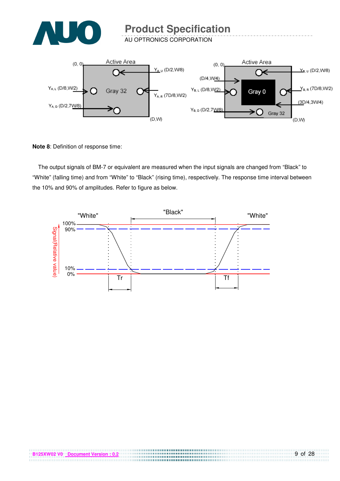

AU OPTRONICS CORPORATION



**Note 8**: Definition of response time:

The output signals of BM-7 or equivalent are measured when the input signals are changed from "Black" to "White" (falling time) and from "White" to "Black" (rising time), respectively. The response time interval between the 10% and 90% of amplitudes. Refer to figure as below.



,,,,,,,,,,,,,,,,,,,,,,,,,,,,,,,,,,,,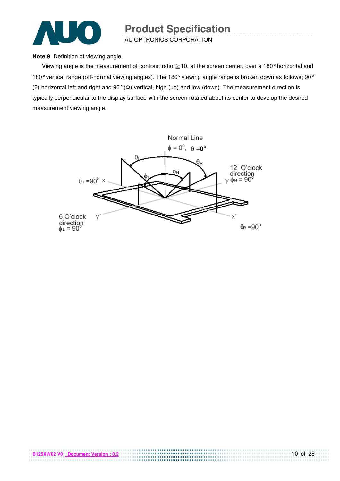

AU OPTRONICS CORPORATION

#### **Note 9**. Definition of viewing angle

Viewing angle is the measurement of contrast ratio  $\geq$  10, at the screen center, over a 180° horizontal and 180° vertical range (off-normal viewing angles). The 180° viewing angle range is broken down as follows; 90° (θ) horizontal left and right and 90° (Φ) vertical, high (up) and low (down). The measurement direction is typically perpendicular to the display surface with the screen rotated about its center to develop the desired measurement viewing angle.

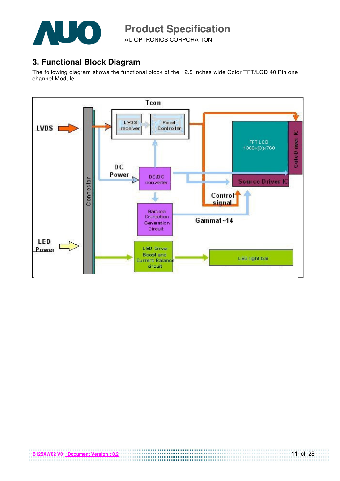

AU OPTRONICS CORPORATION

#### **3. Functional Block Diagram**

The following diagram shows the functional block of the 12.5 inches wide Color TFT/LCD 40 Pin one channel Module

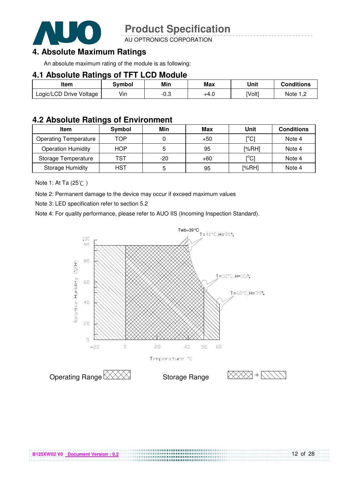

AU OPTRONICS CORPORATION

#### **4. Absolute Maximum Ratings**

An absolute maximum rating of the module is as following:

#### **4.1 Absolute Ratings of TFT LCD Module**

| Item                    | Symbol | Min  | <b>Max</b> | Unit   | <b>Conditions</b> |
|-------------------------|--------|------|------------|--------|-------------------|
| Logic/LCD Drive Voltage | Vin    | -0.3 | +4.U       | [Volt] | Note $1,2$        |

#### **4.2 Absolute Ratings of Environment**

| <b>Item</b>                  | Symbol     | Min   | Max   | Unit  | <b>Conditions</b> |
|------------------------------|------------|-------|-------|-------|-------------------|
| <b>Operating Temperature</b> | TOP        |       | $+50$ | [°C]  | Note 4            |
| <b>Operation Humidity</b>    | <b>HOP</b> |       | 95    | [%RH] | Note 4            |
| Storage Temperature          | TST        | $-20$ | $+60$ | [°C]  | Note 4            |
| <b>Storage Humidity</b>      | <b>HST</b> |       | 95    | [%RH] | Note 4            |

Note 1: At Ta (25°C)

Note 2: Permanent damage to the device may occur if exceed maximum values

Note 3: LED specification refer to section 5.2

Note 4: For quality performance, please refer to AUO IIS (Incoming Inspection Standard).



....................................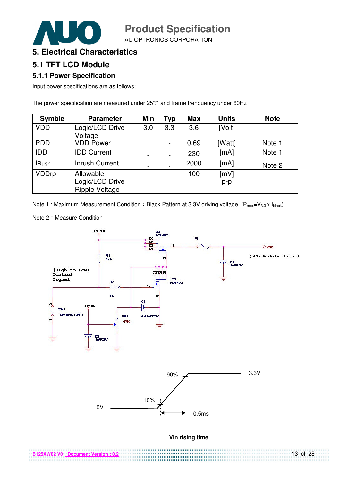AU OPTRONICS CORPORATION



#### **5. Electrical Characteristics**

#### **5.1 TFT LCD Module**

#### **5.1.1 Power Specification**

Input power specifications are as follows;

The power specification are measured under  $25^{\circ}$ C and frame frenquency under 60Hz

| <b>Symble</b> | <b>Parameter</b>                                      | Min | <b>Typ</b> | <b>Max</b> | <b>Units</b>  | <b>Note</b> |
|---------------|-------------------------------------------------------|-----|------------|------------|---------------|-------------|
| <b>VDD</b>    | Logic/LCD Drive<br>Voltage                            | 3.0 | 3.3        | 3.6        | [Volt]        |             |
| <b>PDD</b>    | <b>VDD Power</b>                                      |     |            | 0.69       | [Watt]        | Note 1      |
| IDD           | <b>IDD Current</b>                                    |     |            | 230        | [mA]          | Note 1      |
| <b>IRush</b>  | <b>Inrush Current</b>                                 |     |            | 2000       | [mA]          | Note 2      |
| <b>VDDrp</b>  | Allowable<br>Logic/LCD Drive<br><b>Ripple Voltage</b> |     |            | 100        | [mV]<br>$p-p$ |             |

Note 1 : Maximum Measurement Condition : Black Pattern at 3.3V driving voltage. ( $P_{max}=V_{3.3} \times I_{black}$ )



Note 2: Measure Condition

| B125XW02 V0 Document Version: 0.2 | $13$ of $28$ |
|-----------------------------------|--------------|
|                                   |              |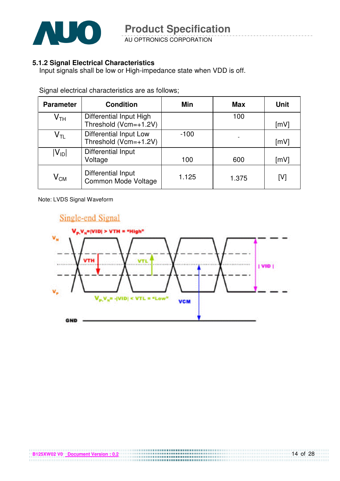

AU OPTRONICS CORPORATION

#### **5.1.2 Signal Electrical Characteristics**

Input signals shall be low or High-impedance state when VDD is off.

| <b>Parameter</b>           | <b>Condition</b>                                 | Min    | <b>Max</b> | Unit |
|----------------------------|--------------------------------------------------|--------|------------|------|
| $\mathsf{V}_{\mathsf{TH}}$ | Differential Input High<br>Threshold (Vcm=+1.2V) |        | 100        | [mV] |
| $\mathsf{V}_{\mathsf{TL}}$ | Differential Input Low<br>Threshold (Vcm=+1.2V)  | $-100$ |            | [mV] |
| $ V_{ID} $                 | Differential Input<br>Voltage                    | 100    | 600        | [mV] |
| $\mathsf{V}_{\mathsf{CM}}$ | Differential Input<br>Common Mode Voltage        | 1.125  | 1.375      | [V]  |

Signal electrical characteristics are as follows;

Note: LVDS Signal Waveform

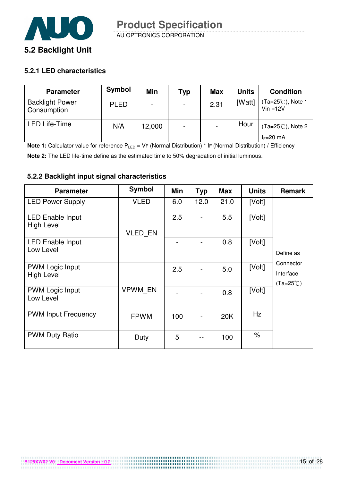

#### **5.2.1 LED characteristics**

| <b>Parameter</b>                      | Symbol      | Min                      | Typ                      | <b>Max</b> | <b>Units</b> | <b>Condition</b>                          |
|---------------------------------------|-------------|--------------------------|--------------------------|------------|--------------|-------------------------------------------|
| <b>Backlight Power</b><br>Consumption | <b>PLED</b> | $\overline{\phantom{0}}$ | $\overline{\phantom{0}}$ | 2.31       | [Watt]       | $Ta=25^{\circ}$ C), Note 1<br>$Vin = 12V$ |
| <b>LED Life-Time</b>                  | N/A         | 12,000                   |                          |            | Hour         | $(Ta=25^{\circ}C)$ , Note 2               |
|                                       |             |                          |                          |            |              | $I_F=20$ mA                               |

**Note 1:** Calculator value for reference P<sub>LED</sub> = VF (Normal Distribution) \* IF (Normal Distribution) / Efficiency

**Note 2:** The LED life-time define as the estimated time to 50% degradation of initial luminous.

**B125XW02 V0** Document Version : 0.2

#### **5.2.2 Backlight input signal characteristics**

| <b>Parameter</b>                             | Symbol         | Min | <b>Typ</b> | <b>Max</b> | <b>Units</b>         | <b>Remark</b>                                |
|----------------------------------------------|----------------|-----|------------|------------|----------------------|----------------------------------------------|
| <b>LED Power Supply</b>                      | <b>VLED</b>    | 6.0 | 12.0       | 21.0       | [Volt]               |                                              |
| <b>LED Enable Input</b><br><b>High Level</b> | VLED_EN        | 2.5 |            | 5.5        | [Volt]               |                                              |
| <b>LED Enable Input</b><br>Low Level         |                |     |            | 0.8        | [Volt]               | Define as                                    |
| <b>PWM Logic Input</b><br><b>High Level</b>  |                | 2.5 |            | 5.0        | [Volt]               | Connector<br>Interface<br>$(Ta=25^{\circ}C)$ |
| <b>PWM Logic Input</b><br>Low Level          | <b>VPWM EN</b> |     |            | 0.8        | [Volt]               |                                              |
| <b>PWM Input Frequency</b>                   | <b>FPWM</b>    | 100 |            | 20K        | Hz                   |                                              |
| <b>PWM Duty Ratio</b>                        | Duty           | 5   |            | 100        | $\frac{1}{\sqrt{2}}$ |                                              |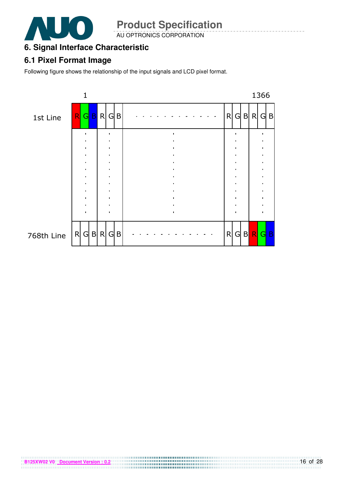

AU OPTRONICS CORPORATION

#### **6. Signal Interface Characteristic**

#### **6.1 Pixel Format Image**

Following figure shows the relationship of the input signals and LCD pixel format.

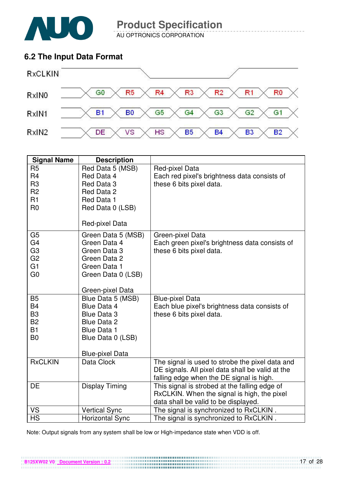

AU OPTRONICS CORPORATION

#### **6.2 The Input Data Format**



| <b>Signal Name</b> | <b>Description</b>     |                                                  |
|--------------------|------------------------|--------------------------------------------------|
| R <sub>5</sub>     | Red Data 5 (MSB)       | Red-pixel Data                                   |
| R <sub>4</sub>     | Red Data 4             | Each red pixel's brightness data consists of     |
| R <sub>3</sub>     | Red Data 3             | these 6 bits pixel data.                         |
| R <sub>2</sub>     | Red Data 2             |                                                  |
| R1                 | Red Data 1             |                                                  |
| R <sub>0</sub>     | Red Data 0 (LSB)       |                                                  |
|                    | Red-pixel Data         |                                                  |
| G <sub>5</sub>     | Green Data 5 (MSB)     | Green-pixel Data                                 |
| G <sub>4</sub>     | Green Data 4           | Each green pixel's brightness data consists of   |
| G <sub>3</sub>     | Green Data 3           | these 6 bits pixel data.                         |
| G <sub>2</sub>     | Green Data 2           |                                                  |
| G <sub>1</sub>     | Green Data 1           |                                                  |
| G <sub>0</sub>     | Green Data 0 (LSB)     |                                                  |
|                    | Green-pixel Data       |                                                  |
| <b>B5</b>          | Blue Data 5 (MSB)      | <b>Blue-pixel Data</b>                           |
| <b>B4</b>          | Blue Data 4            | Each blue pixel's brightness data consists of    |
| B <sub>3</sub>     | <b>Blue Data 3</b>     | these 6 bits pixel data.                         |
| <b>B2</b>          | <b>Blue Data 2</b>     |                                                  |
| <b>B1</b>          | <b>Blue Data 1</b>     |                                                  |
| B <sub>0</sub>     | Blue Data 0 (LSB)      |                                                  |
|                    | <b>Blue-pixel Data</b> |                                                  |
| <b>RxCLKIN</b>     | Data Clock             | The signal is used to strobe the pixel data and  |
|                    |                        | DE signals. All pixel data shall be valid at the |
|                    |                        | falling edge when the DE signal is high.         |
| <b>DE</b>          | <b>Display Timing</b>  | This signal is strobed at the falling edge of    |
|                    |                        | RxCLKIN. When the signal is high, the pixel      |
|                    |                        | data shall be valid to be displayed.             |
| VS                 | <b>Vertical Sync</b>   | The signal is synchronized to RxCLKIN.           |
| <b>HS</b>          | <b>Horizontal Sync</b> | The signal is synchronized to RxCLKIN.           |

Note: Output signals from any system shall be low or High-impedance state when VDD is off.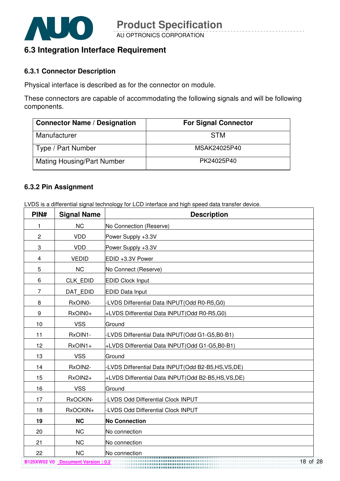

#### **6.3 Integration Interface Requirement**

#### **6.3.1 Connector Description**

Physical interface is described as for the connector on module.

These connectors are capable of accommodating the following signals and will be following components.

| <b>Connector Name / Designation</b> | <b>For Signal Connector</b> |
|-------------------------------------|-----------------------------|
| Manufacturer                        | <b>STM</b>                  |
| Type / Part Number                  | MSAK24025P40                |
| <b>Mating Housing/Part Number</b>   | PK24025P40                  |

#### **6.3.2 Pin Assignment**

LVDS is a differential signal technology for LCD interface and high speed data transfer device.

| PIN#           | <b>Signal Name</b> | <b>Description</b>                                    |
|----------------|--------------------|-------------------------------------------------------|
| 1              | <b>NC</b>          | No Connection (Reserve)                               |
| $\overline{c}$ | <b>VDD</b>         | Power Supply +3.3V                                    |
| 3              | <b>VDD</b>         | Power Supply +3.3V                                    |
| 4              | <b>VEDID</b>       | EDID +3.3V Power                                      |
| 5              | <b>NC</b>          | No Connect (Reserve)                                  |
| 6              | CLK EDID           | <b>EDID Clock Input</b>                               |
| $\overline{7}$ | DAT EDID           | <b>EDID Data Input</b>                                |
| 8              | RxOIN0-            | -LVDS Differential Data INPUT(Odd R0-R5,G0)           |
| 9              | RxOIN0+            | +LVDS Differential Data INPUT(Odd R0-R5,G0)           |
| 10             | <b>VSS</b>         | Ground                                                |
| 11             | RxOIN1-            | -LVDS Differential Data INPUT(Odd G1-G5,B0-B1)        |
| 12             | RxOIN1+            | +LVDS Differential Data INPUT(Odd G1-G5,B0-B1)        |
| 13             | <b>VSS</b>         | Ground                                                |
| 14             | RxOIN2-            | -LVDS Differential Data INPUT(Odd B2-B5,HS,VS,DE)     |
| 15             | RxOIN2+            | +LVDS Differential Data INPUT (Odd B2-B5, HS, VS, DE) |
| 16             | <b>VSS</b>         | Ground                                                |
| 17             | RxOCKIN-           | -LVDS Odd Differential Clock INPUT                    |
| 18             | RxOCKIN+           | <b>LVDS Odd Differential Clock INPUT</b>              |
| 19             | <b>NC</b>          | <b>No Connection</b>                                  |
| 20             | <b>NC</b>          | No connection                                         |
| 21             | <b>NC</b>          | No connection                                         |
| 22             | <b>NC</b>          | No connection                                         |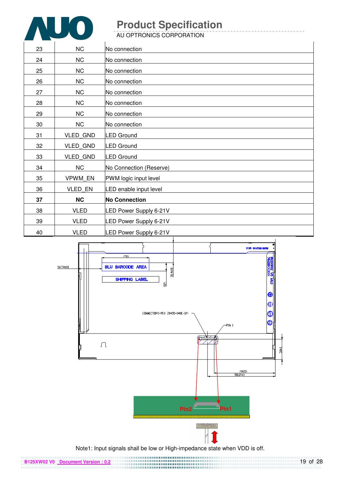

AU OPTRONICS CORPORATION

| 23 | NC              | No connection           |
|----|-----------------|-------------------------|
| 24 | NC              | No connection           |
| 25 | NC              | No connection           |
| 26 | NC              | No connection           |
| 27 | NC              | No connection           |
| 28 | NC              | No connection           |
| 29 | NC              | No connection           |
| 30 | NC              | No connection           |
| 31 | VLED_GND        | <b>LED Ground</b>       |
| 32 | <b>VLED GND</b> | <b>LED</b> Ground       |
| 33 | VLED_GND        | <b>LED Ground</b>       |
| 34 | NC              | No Connection (Reserve) |
| 35 | VPWM EN         | PWM logic input level   |
| 36 | <b>VLED EN</b>  | LED enable input level  |
| 37 | <b>NC</b>       | <b>No Connection</b>    |
| 38 | <b>VLED</b>     | LED Power Supply 6-21V  |
| 39 | <b>VLED</b>     | LED Power Supply 6-21V  |
| 40 | <b>VLED</b>     | LED Power Supply 6-21V  |



Note1: Input signals shall be low or High-impedance state when VDD is off.

**B125XW02 V0** Document Version : 0.2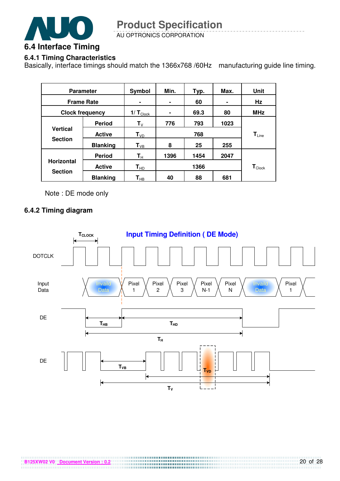![](_page_19_Picture_0.jpeg)

AU OPTRONICS CORPORATION

#### **6.4.1 Timing Characteristics**

Basically, interface timings should match the 1366x768 /60Hz manufacturing guide line timing.

| <b>Parameter</b>                  |                                             | Symbol                  | Min. | Typ.                          | Max. | Unit       |
|-----------------------------------|---------------------------------------------|-------------------------|------|-------------------------------|------|------------|
| <b>Frame Rate</b>                 |                                             |                         | ۰    | 60                            |      | Hz         |
| <b>Clock frequency</b>            |                                             | $1/T_{\text{Clock}}$    | ۰    | 69.3                          | 80   | <b>MHz</b> |
|                                   | <b>Period</b>                               | $T_{V}$                 | 776  | 793                           | 1023 |            |
| <b>Vertical</b><br><b>Section</b> | <b>Active</b>                               | $T_{VD}$                | 768  |                               |      | $T_{Line}$ |
|                                   | <b>Blanking</b>                             | $T_{VB}$                | 8    | 25                            | 255  |            |
|                                   | <b>Period</b>                               | $\mathsf{T}_\mathsf{H}$ | 1396 | 1454                          | 2047 |            |
| <b>Horizontal</b>                 | <b>Active</b><br>$\mathsf{T}_{\mathsf{HD}}$ |                         |      | $\textsf{T}_{\textsf{Clock}}$ |      |            |
| <b>Section</b>                    | <b>Blanking</b>                             | $\textsf{T}_{\sf HB}$   | 40   | 88                            | 681  |            |

Note : DE mode only

#### **6.4.2 Timing diagram**

![](_page_19_Figure_8.jpeg)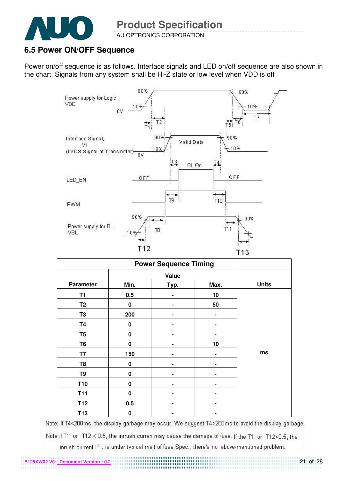![](_page_20_Picture_0.jpeg)

**B125XW02 V0 Document Version** 

#### AU OPTRONICS CORPORATION

#### **6.5 Power ON/OFF Sequence**

Power on/off sequence is as follows. Interface signals and LED on/off sequence are also shown in the chart. Signals from any system shall be Hi-Z state or low level when VDD is off

![](_page_20_Figure_5.jpeg)

| <b>Power Sequence Timing</b> |             |      |                |              |  |
|------------------------------|-------------|------|----------------|--------------|--|
|                              |             |      |                |              |  |
| <b>Parameter</b>             | Min.        | Typ. | Max.           | <b>Units</b> |  |
| T <sub>1</sub>               | 0.5         |      | 10             |              |  |
| T <sub>2</sub>               | 0           |      | 50             |              |  |
| T <sub>3</sub>               | 200         |      | $\blacksquare$ |              |  |
| <b>T4</b>                    | $\bf{0}$    |      |                |              |  |
| T <sub>5</sub>               | $\bf{0}$    |      |                |              |  |
| T <sub>6</sub>               | $\bf{0}$    |      | 10             |              |  |
| T7                           | 150         |      |                | ms           |  |
| T <sub>8</sub>               | $\mathbf 0$ |      |                |              |  |
| T9                           | $\bf{0}$    |      |                |              |  |
| <b>T10</b>                   | $\bf{0}$    |      |                |              |  |
| <b>T11</b>                   | 0           |      |                |              |  |
| T <sub>12</sub>              | 0.5         |      |                |              |  |
| T <sub>13</sub>              | $\bf{0}$    |      |                |              |  |

Note: If T4<200ms, the display garbage may occur. We suggest T4>200ms to avoid the display garbage.

Note: If T1 or T12 < 0.5, the inrrush curren may cause the damage of fuse. If the T1 or T12<0.5, the

inrush current I<sup>2</sup> t is under typical melt of fuse Spec., there's no above-mentioned problem.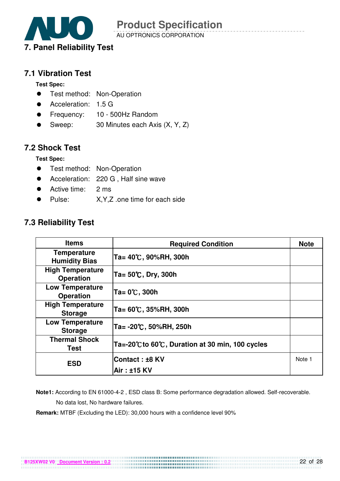![](_page_21_Picture_0.jpeg)

AU OPTRONICS CORPORATION

#### **7.1 Vibration Test**

**Test Spec:** 

- **•** Test method: Non-Operation
- Acceleration: 1.5 G
- Frequency: 10 500Hz Random
- Sweep: 30 Minutes each Axis (X, Y, Z)

#### **7.2 Shock Test**

**Test Spec:** 

- **•** Test method: Non-Operation
- Acceleration: 220 G , Half sine wave
- Active time: 2 ms
- Pulse: X,Y,Z .one time for each side

#### **7.3 Reliability Test**

| <b>Items</b>                                | <b>Required Condition</b>                     | <b>Note</b> |
|---------------------------------------------|-----------------------------------------------|-------------|
| <b>Temperature</b><br><b>Humidity Bias</b>  | Ta= 40℃, 90%RH, 300h                          |             |
| <b>High Temperature</b><br><b>Operation</b> | Ta= 50℃, Dry, 300h                            |             |
| <b>Low Temperature</b><br><b>Operation</b>  | Ta= 0℃, 300h                                  |             |
| <b>High Temperature</b><br><b>Storage</b>   | Ta= 60℃, 35%RH, 300h                          |             |
| <b>Low Temperature</b><br><b>Storage</b>    | Ta= -20℃, 50%RH, 250h                         |             |
| <b>Thermal Shock</b><br><b>Test</b>         | Ta=-20℃to 60℃, Duration at 30 min, 100 cycles |             |
| <b>ESD</b>                                  | <b>Contact : ±8 KV</b>                        | Note 1      |
|                                             | Air: ±15 KV                                   |             |

 **Note1:** According to EN 61000-4-2 , ESD class B: Some performance degradation allowed. Self-recoverable. No data lost, No hardware failures.

**Remark:** MTBF (Excluding the LED): 30,000 hours with a confidence level 90%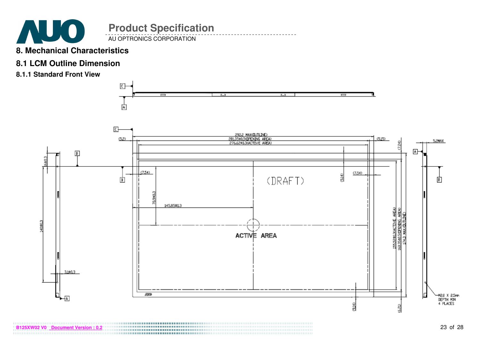![](_page_22_Picture_0.jpeg)

#### **8. Mechanical Characteristics**

#### **8.1 LCM Outline Dimension**

**8.1.1 Standard Front View** 

![](_page_22_Figure_4.jpeg)

![](_page_22_Figure_5.jpeg)

**82 V0** <u>Document Version : 0.2</u><br>**B25XW0** Document Version : 0.2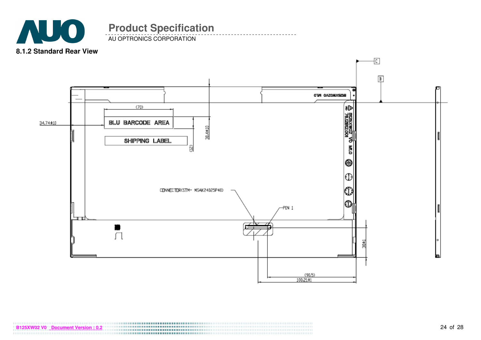![](_page_23_Picture_0.jpeg)

AU OPTRONICS CORPORATION

![](_page_23_Figure_3.jpeg)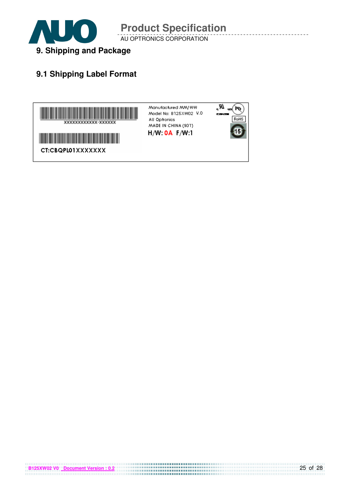![](_page_24_Picture_0.jpeg)

AU OPTRONICS CORPORATION

#### **9.1 Shipping Label Format**

![](_page_24_Figure_4.jpeg)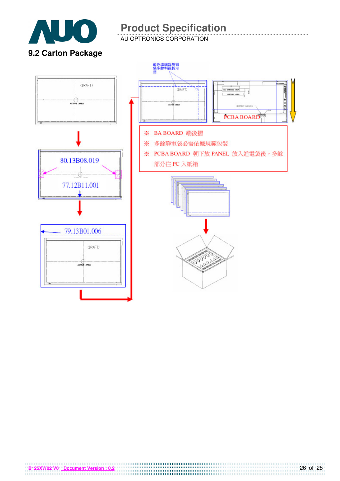![](_page_25_Picture_0.jpeg)

AU OPTRONICS CORPORATION

**9.2 Carton Package** 

![](_page_25_Figure_4.jpeg)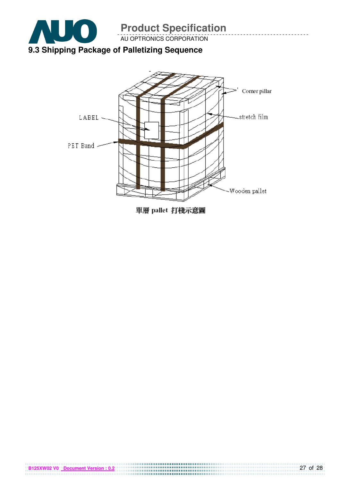![](_page_26_Picture_0.jpeg)

**B125XW02 V0 Document Version : 0.2**

![](_page_26_Figure_1.jpeg)

單層 pallet 打棧示意圖